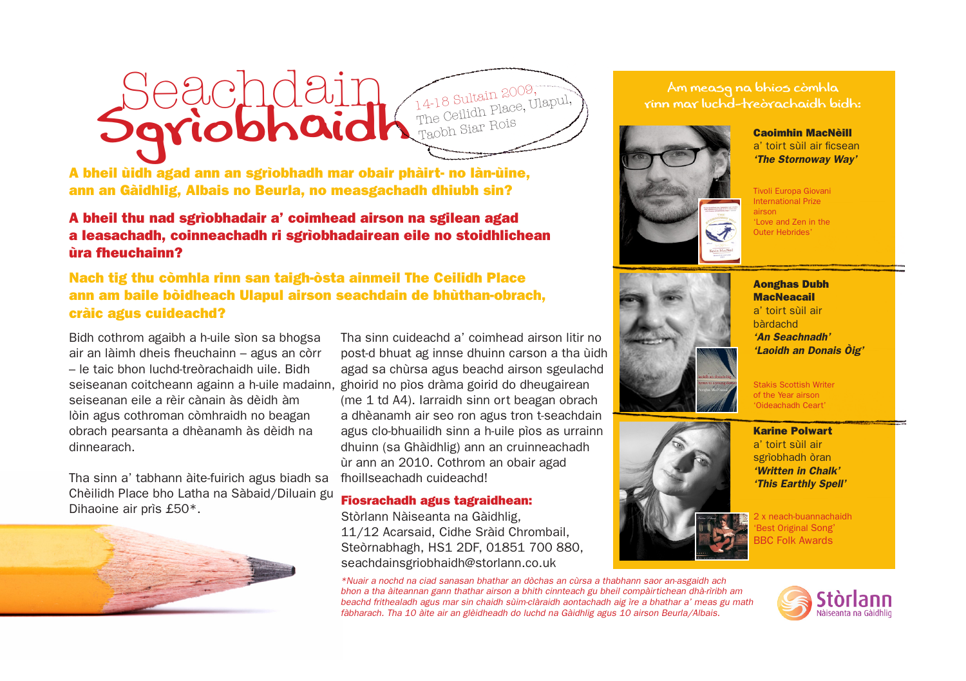## Seachdain<br>Sgrìobhaidh 14-18 Sultain 2009, The Ceilidh Place, Ulapul, Taobh Siar Rois

A bheil ùidh agad ann an sgrìobhadh mar obair phàirt- no làn-ùine, ann an Gàidhlig, Albais no Beurla, no measgachadh dhiubh sin?

#### A bheil thu nad sgrìobhadair a' coimhead airson na sgilean agad a leasachadh, coinneachadh ri sgrìobhadairean eile no stoidhlichean ùra fheuchainn?

Nach tig thu còmhla rinn san taigh-òsta ainmeil The Ceilidh Place ann am baile bòidheach Ulapul airson seachdain de bhùthan-obrach, cràic agus cuideachd?

Bidh cothrom agaibh a h-uile sìon sa bhogsa air an làimh dheis fheuchainn – agus an còrr – le taic bhon luchd-treòrachaidh uile. Bidh seiseanan coitcheann againn a h-uile madainn, ghoirid no pìos dràma goirid do dheugairean seiseanan eile a rèir cànain às dèidh àm lòin agus cothroman còmhraidh no beagan obrach pearsanta a dhèanamh às dèidh na dinnearach.

Tha sinn a' tabhann àite-fuirich agus biadh sa Chèilidh Place bho Latha na Sàbaid/Diluain gu Dihaoine air prìs £50\*.



Tha sinn cuideachd a' coimhead airson litir no post-d bhuat ag innse dhuinn carson a tha ùidh agad sa chùrsa agus beachd airson sgeulachd (me 1 td A4). Iarraidh sinn ort beagan obrach a dhèanamh air seo ron agus tron t-seachdain agus clo-bhuailidh sinn a h-uile pìos as urrainn dhuinn (sa Ghàidhlig) ann an cruinneachadh ùr ann an 2010. Cothrom an obair agad fhoillseachadh cuideachd!

#### Fiosrachadh agus tagraidhean:

Stòrlann Nàiseanta na Gàidhlig, 11/12 Acarsaid, Cidhe Sràid Chrombail, Steòrnabhagh, HS1 2DF, 01851 700 880, seachdainsgriobhaidh@storlann.co.uk

*\*Nuair a nochd na ciad sanasan bhathar an dòchas an cùrsa a thabhann saor an-asgaidh ach bhon a tha àiteannan gann thathar airson a bhith cinnteach gu bheil compàirtichean dhà-rìribh am beachd frithealadh agus mar sin chaidh sùim-clàraidh aontachadh aig ìre a bhathar a' meas gu math fàbharach. Tha 10 àite air an glèidheadh do luchd na Gàidhlig agus 10 airson Beurla/Albais.*

Am measg na bhios còmhla rinn mar luchd-treòrachaidh bidh:



Caoimhin MacNèill a' toirt sùil air ficsean *'The Stornoway Way'*

Tivoli Europa Giovani International Prize airson 'Love and Zen in the Outer Hebrides'





Aonghas Dubh **MacNeacail** a' toirt sùil air bàrdachd *'An Seachnadh' 'Laoidh an Donais Òig'*

Stakis Scottish Writer of the Year airson 'Oideachadh Ceart'

Karine Polwart a' toirt sùil air sgrìobhadh òran *'Written in Chalk' 'This Earthly Spell'*

2 x neach-buannachaidh 'Best Original Song' **BBC Folk Awards**